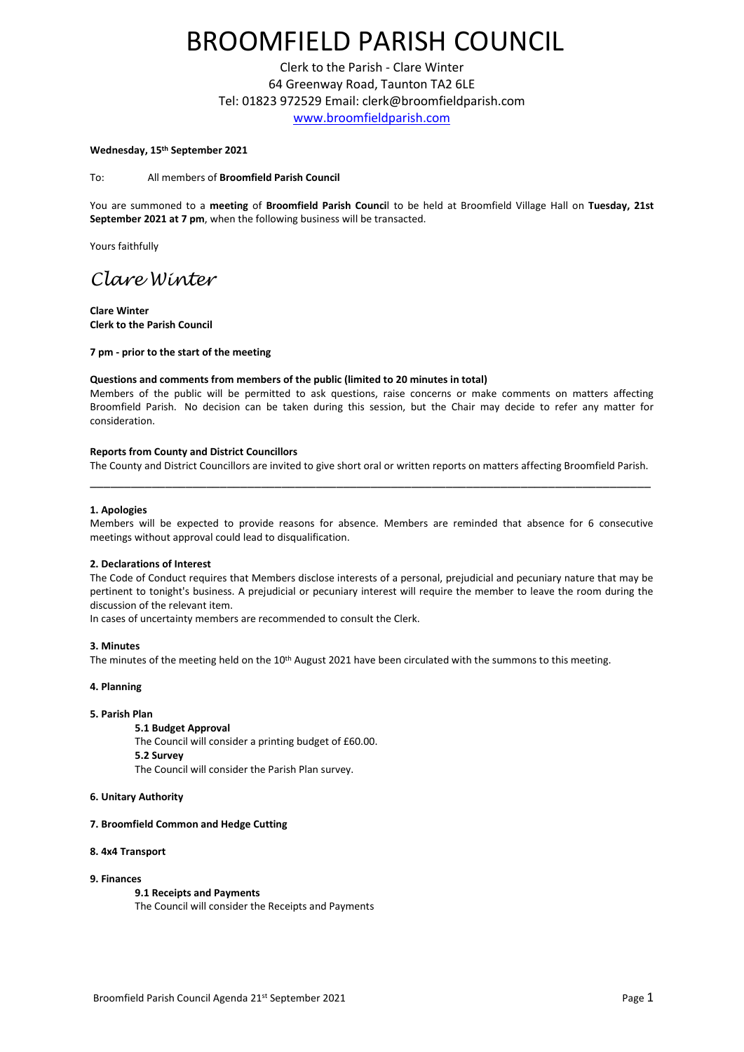# BROOMFIELD PARISH COUNCIL

Clerk to the Parish - Clare Winter 64 Greenway Road, Taunton TA2 6LE Tel: 01823 972529 Email: clerk@broomfieldparish.com [www.broomfieldparish.com](http://www.broomfieldparish.com/)

#### **Wednesday, 15th September 2021**

To: All members of **Broomfield Parish Council**

You are summoned to a **meeting** of **Broomfield Parish Counci**l to be held at Broomfield Village Hall on **Tuesday, 21st September 2021 at 7 pm**, when the following business will be transacted.

Yours faithfully

### *Clare Winter*

**Clare Winter Clerk to the Parish Council**

**7 pm - prior to the start of the meeting**

#### **Questions and comments from members of the public (limited to 20 minutes in total)**

Members of the public will be permitted to ask questions, raise concerns or make comments on matters affecting Broomfield Parish. No decision can be taken during this session, but the Chair may decide to refer any matter for consideration.

#### **Reports from County and District Councillors**

The County and District Councillors are invited to give short oral or written reports on matters affecting Broomfield Parish. \_\_\_\_\_\_\_\_\_\_\_\_\_\_\_\_\_\_\_\_\_\_\_\_\_\_\_\_\_\_\_\_\_\_\_\_\_\_\_\_\_\_\_\_\_\_\_\_\_\_\_\_\_\_\_\_\_\_\_\_\_\_\_\_\_\_\_\_\_\_\_\_\_\_\_\_\_\_\_\_\_\_

#### **1. Apologies**

Members will be expected to provide reasons for absence. Members are reminded that absence for 6 consecutive meetings without approval could lead to disqualification.

#### **2. Declarations of Interest**

The Code of Conduct requires that Members disclose interests of a personal, prejudicial and pecuniary nature that may be pertinent to tonight's business. A prejudicial or pecuniary interest will require the member to leave the room during the discussion of the relevant item.

In cases of uncertainty members are recommended to consult the Clerk.

#### **3. Minutes**

The minutes of the meeting held on the 10<sup>th</sup> August 2021 have been circulated with the summons to this meeting.

#### **4. Planning**

#### **5. Parish Plan**

#### **5.1 Budget Approval**

The Council will consider a printing budget of £60.00. **5.2 Survey** The Council will consider the Parish Plan survey.

### **6. Unitary Authority**

#### **7. Broomfield Common and Hedge Cutting**

#### **8. 4x4 Transport**

#### **9. Finances**

**9.1 Receipts and Payments**

The Council will consider the Receipts and Payments